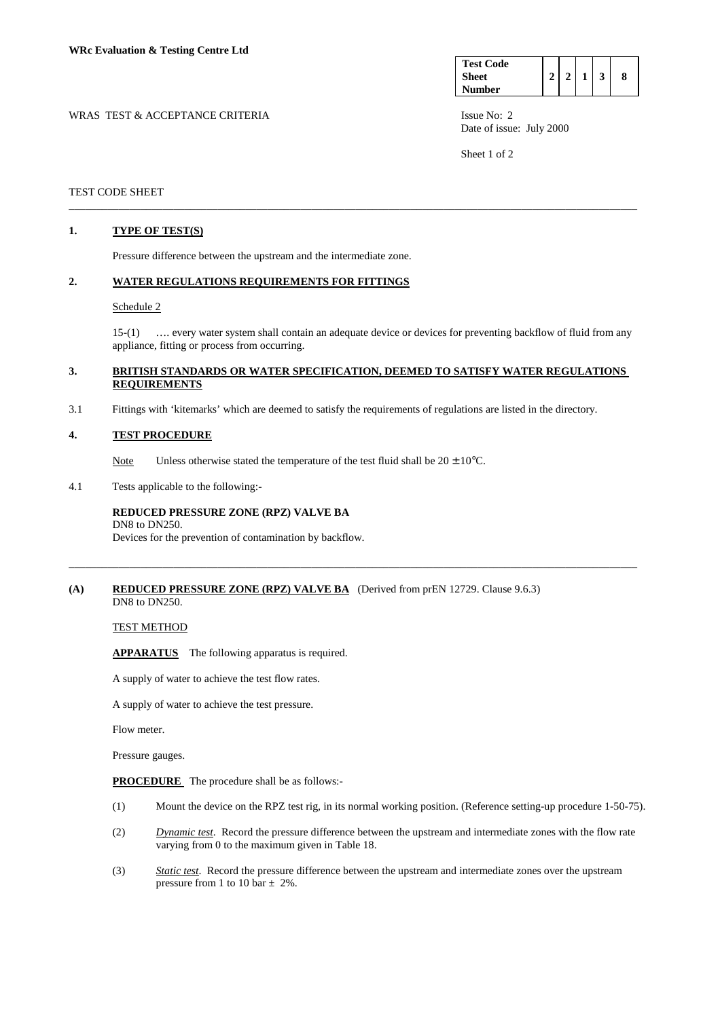| <b>Test Code</b> |  |  |  |
|------------------|--|--|--|
| <b>Sheet</b>     |  |  |  |
| <b>Number</b>    |  |  |  |

WRAS TEST & ACCEPTANCE CRITERIA ISSUE No: 2 Date of issue: July 2000

Sheet 1 of 2

## TEST CODE SHEET

## **1. TYPE OF TEST(S)**

Pressure difference between the upstream and the intermediate zone.

### **2. WATER REGULATIONS REQUIREMENTS FOR FITTINGS**

### Schedule 2

 15-(1) …. every water system shall contain an adequate device or devices for preventing backflow of fluid from any appliance, fitting or process from occurring.

## **3. BRITISH STANDARDS OR WATER SPECIFICATION, DEEMED TO SATISFY WATER REGULATIONS REQUIREMENTS**

\_\_\_\_\_\_\_\_\_\_\_\_\_\_\_\_\_\_\_\_\_\_\_\_\_\_\_\_\_\_\_\_\_\_\_\_\_\_\_\_\_\_\_\_\_\_\_\_\_\_\_\_\_\_\_\_\_\_\_\_\_\_\_\_\_\_\_\_\_\_\_\_\_\_\_\_\_\_\_\_\_\_\_\_\_\_\_\_\_\_\_\_\_\_\_\_\_\_\_\_\_\_\_

\_\_\_\_\_\_\_\_\_\_\_\_\_\_\_\_\_\_\_\_\_\_\_\_\_\_\_\_\_\_\_\_\_\_\_\_\_\_\_\_\_\_\_\_\_\_\_\_\_\_\_\_\_\_\_\_\_\_\_\_\_\_\_\_\_\_\_\_\_\_\_\_\_\_\_\_\_\_\_\_\_\_\_\_\_\_\_\_\_\_\_\_\_\_\_\_\_\_\_\_\_\_\_

3.1 Fittings with 'kitemarks' which are deemed to satisfy the requirements of regulations are listed in the directory.

### **4. TEST PROCEDURE**

Note Unless otherwise stated the temperature of the test fluid shall be  $20 \pm 10^{\circ}$ C.

4.1 Tests applicable to the following:-

## **REDUCED PRESSURE ZONE (RPZ) VALVE BA**  DN8 to DN250.

Devices for the prevention of contamination by backflow.

## **(A) REDUCED PRESSURE ZONE (RPZ) VALVE BA** (Derived from prEN 12729. Clause 9.6.3) DN8 to DN250.

TEST METHOD

**APPARATUS** The following apparatus is required.

A supply of water to achieve the test flow rates.

A supply of water to achieve the test pressure.

Flow meter.

Pressure gauges.

**PROCEDURE** The procedure shall be as follows:-

- (1) Mount the device on the RPZ test rig, in its normal working position. (Reference setting-up procedure 1-50-75).
- (2) *Dynamic test*. Record the pressure difference between the upstream and intermediate zones with the flow rate varying from 0 to the maximum given in Table 18.
- (3) *Static test*. Record the pressure difference between the upstream and intermediate zones over the upstream pressure from 1 to 10 bar  $\pm$  2%.